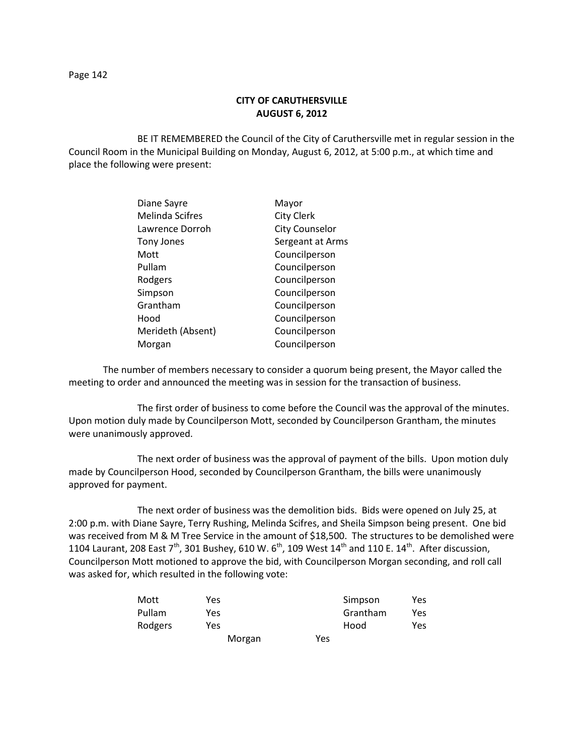## **CITY OF CARUTHERSVILLE AUGUST 6, 2012**

BE IT REMEMBERED the Council of the City of Caruthersville met in regular session in the Council Room in the Municipal Building on Monday, August 6, 2012, at 5:00 p.m., at which time and place the following were present:

| Diane Sayre            | Mayor                 |
|------------------------|-----------------------|
| <b>Melinda Scifres</b> | <b>City Clerk</b>     |
| Lawrence Dorroh        | <b>City Counselor</b> |
| <b>Tony Jones</b>      | Sergeant at Arms      |
| Mott                   | Councilperson         |
| Pullam                 | Councilperson         |
| Rodgers                | Councilperson         |
| Simpson                | Councilperson         |
| Grantham               | Councilperson         |
| Hood                   | Councilperson         |
| Merideth (Absent)      | Councilperson         |
| Morgan                 | Councilperson         |
|                        |                       |

The number of members necessary to consider a quorum being present, the Mayor called the meeting to order and announced the meeting was in session for the transaction of business.

The first order of business to come before the Council was the approval of the minutes. Upon motion duly made by Councilperson Mott, seconded by Councilperson Grantham, the minutes were unanimously approved.

The next order of business was the approval of payment of the bills. Upon motion duly made by Councilperson Hood, seconded by Councilperson Grantham, the bills were unanimously approved for payment.

The next order of business was the demolition bids. Bids were opened on July 25, at 2:00 p.m. with Diane Sayre, Terry Rushing, Melinda Scifres, and Sheila Simpson being present. One bid was received from M & M Tree Service in the amount of \$18,500. The structures to be demolished were 1104 Laurant, 208 East  $7<sup>th</sup>$ , 301 Bushey, 610 W. 6<sup>th</sup>, 109 West 14<sup>th</sup> and 110 E. 14<sup>th</sup>. After discussion, Councilperson Mott motioned to approve the bid, with Councilperson Morgan seconding, and roll call was asked for, which resulted in the following vote:

| Mott    | Yes    |     | Simpson  | Yes |
|---------|--------|-----|----------|-----|
| Pullam  | Yes    |     | Grantham | Yes |
| Rodgers | Yes    |     | Hood     | Yes |
|         | Morgan | Yes |          |     |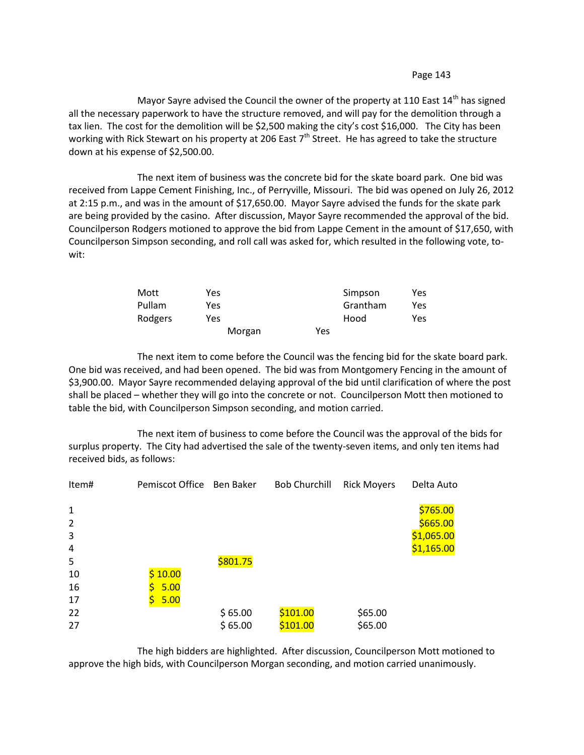Mayor Sayre advised the Council the owner of the property at 110 East  $14<sup>th</sup>$  has signed all the necessary paperwork to have the structure removed, and will pay for the demolition through a tax lien. The cost for the demolition will be \$2,500 making the city's cost \$16,000. The City has been working with Rick Stewart on his property at 206 East 7<sup>th</sup> Street. He has agreed to take the structure down at his expense of \$2,500.00.

The next item of business was the concrete bid for the skate board park. One bid was received from Lappe Cement Finishing, Inc., of Perryville, Missouri. The bid was opened on July 26, 2012 at 2:15 p.m., and was in the amount of \$17,650.00. Mayor Sayre advised the funds for the skate park are being provided by the casino. After discussion, Mayor Sayre recommended the approval of the bid. Councilperson Rodgers motioned to approve the bid from Lappe Cement in the amount of \$17,650, with Councilperson Simpson seconding, and roll call was asked for, which resulted in the following vote, towit:

| Mott    | Yes    |     | Simpson  | Yes |
|---------|--------|-----|----------|-----|
| Pullam  | Yes    |     | Grantham | Yes |
| Rodgers | Yes    |     | Hood     | Yes |
|         | Morgan | Yes |          |     |

The next item to come before the Council was the fencing bid for the skate board park. One bid was received, and had been opened. The bid was from Montgomery Fencing in the amount of \$3,900.00. Mayor Sayre recommended delaying approval of the bid until clarification of where the post shall be placed – whether they will go into the concrete or not. Councilperson Mott then motioned to table the bid, with Councilperson Simpson seconding, and motion carried.

The next item of business to come before the Council was the approval of the bids for surplus property. The City had advertised the sale of the twenty-seven items, and only ten items had received bids, as follows:

| Item#          | Pemiscot Office Ben Baker |          | <b>Bob Churchill</b> | <b>Rick Moyers</b> | Delta Auto |
|----------------|---------------------------|----------|----------------------|--------------------|------------|
| $\mathbf{1}$   |                           |          |                      |                    | \$765.00   |
| $\overline{2}$ |                           |          |                      |                    | \$665.00   |
| 3              |                           |          |                      |                    | \$1,065.00 |
| $\overline{4}$ |                           |          |                      |                    | \$1,165.00 |
| 5              |                           | \$801.75 |                      |                    |            |
| 10             | \$10.00                   |          |                      |                    |            |
| 16             | 5.00                      |          |                      |                    |            |
| 17             | 5.00                      |          |                      |                    |            |
| 22             |                           | \$65.00  | \$101.00             | \$65.00            |            |
| 27             |                           | \$65.00  | \$101.00             | \$65.00            |            |

The high bidders are highlighted. After discussion, Councilperson Mott motioned to approve the high bids, with Councilperson Morgan seconding, and motion carried unanimously.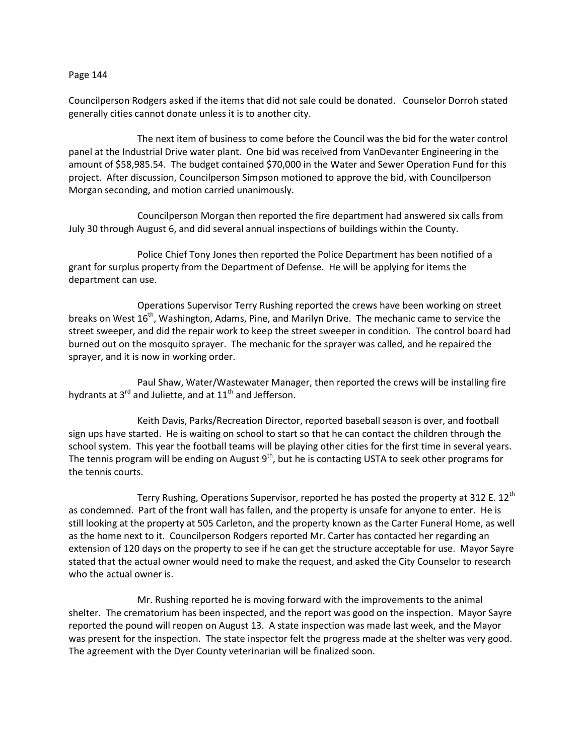Councilperson Rodgers asked if the items that did not sale could be donated. Counselor Dorroh stated generally cities cannot donate unless it is to another city.

The next item of business to come before the Council was the bid for the water control panel at the Industrial Drive water plant. One bid was received from VanDevanter Engineering in the amount of \$58,985.54. The budget contained \$70,000 in the Water and Sewer Operation Fund for this project. After discussion, Councilperson Simpson motioned to approve the bid, with Councilperson Morgan seconding, and motion carried unanimously.

Councilperson Morgan then reported the fire department had answered six calls from July 30 through August 6, and did several annual inspections of buildings within the County.

Police Chief Tony Jones then reported the Police Department has been notified of a grant for surplus property from the Department of Defense. He will be applying for items the department can use.

Operations Supervisor Terry Rushing reported the crews have been working on street breaks on West 16<sup>th</sup>, Washington, Adams, Pine, and Marilyn Drive. The mechanic came to service the street sweeper, and did the repair work to keep the street sweeper in condition. The control board had burned out on the mosquito sprayer. The mechanic for the sprayer was called, and he repaired the sprayer, and it is now in working order.

Paul Shaw, Water/Wastewater Manager, then reported the crews will be installing fire hydrants at  $3^{rd}$  and Juliette, and at  $11^{th}$  and Jefferson.

Keith Davis, Parks/Recreation Director, reported baseball season is over, and football sign ups have started. He is waiting on school to start so that he can contact the children through the school system. This year the football teams will be playing other cities for the first time in several years. The tennis program will be ending on August 9<sup>th</sup>, but he is contacting USTA to seek other programs for the tennis courts.

Terry Rushing, Operations Supervisor, reported he has posted the property at 312 E. 12<sup>th</sup> as condemned. Part of the front wall has fallen, and the property is unsafe for anyone to enter. He is still looking at the property at 505 Carleton, and the property known as the Carter Funeral Home, as well as the home next to it. Councilperson Rodgers reported Mr. Carter has contacted her regarding an extension of 120 days on the property to see if he can get the structure acceptable for use. Mayor Sayre stated that the actual owner would need to make the request, and asked the City Counselor to research who the actual owner is.

Mr. Rushing reported he is moving forward with the improvements to the animal shelter. The crematorium has been inspected, and the report was good on the inspection. Mayor Sayre reported the pound will reopen on August 13. A state inspection was made last week, and the Mayor was present for the inspection. The state inspector felt the progress made at the shelter was very good. The agreement with the Dyer County veterinarian will be finalized soon.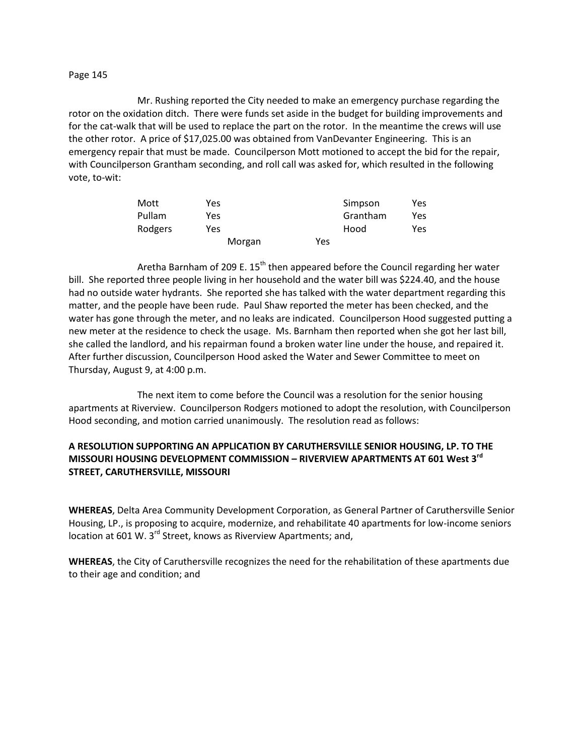Mr. Rushing reported the City needed to make an emergency purchase regarding the rotor on the oxidation ditch. There were funds set aside in the budget for building improvements and for the cat-walk that will be used to replace the part on the rotor. In the meantime the crews will use the other rotor. A price of \$17,025.00 was obtained from VanDevanter Engineering. This is an emergency repair that must be made. Councilperson Mott motioned to accept the bid for the repair, with Councilperson Grantham seconding, and roll call was asked for, which resulted in the following vote, to-wit:

| Mott    | Yes    |     | Simpson  | Yes |
|---------|--------|-----|----------|-----|
| Pullam  | Yes    |     | Grantham | Yes |
| Rodgers | Yes    |     | Hood     | Yes |
|         | Morgan | Yes |          |     |

Aretha Barnham of 209 E.  $15<sup>th</sup>$  then appeared before the Council regarding her water bill. She reported three people living in her household and the water bill was \$224.40, and the house had no outside water hydrants. She reported she has talked with the water department regarding this matter, and the people have been rude. Paul Shaw reported the meter has been checked, and the water has gone through the meter, and no leaks are indicated. Councilperson Hood suggested putting a new meter at the residence to check the usage. Ms. Barnham then reported when she got her last bill, she called the landlord, and his repairman found a broken water line under the house, and repaired it. After further discussion, Councilperson Hood asked the Water and Sewer Committee to meet on Thursday, August 9, at 4:00 p.m.

The next item to come before the Council was a resolution for the senior housing apartments at Riverview. Councilperson Rodgers motioned to adopt the resolution, with Councilperson Hood seconding, and motion carried unanimously. The resolution read as follows:

# **A RESOLUTION SUPPORTING AN APPLICATION BY CARUTHERSVILLE SENIOR HOUSING, LP. TO THE MISSOURI HOUSING DEVELOPMENT COMMISSION – RIVERVIEW APARTMENTS AT 601 West 3rd STREET, CARUTHERSVILLE, MISSOURI**

**WHEREAS**, Delta Area Community Development Corporation, as General Partner of Caruthersville Senior Housing, LP., is proposing to acquire, modernize, and rehabilitate 40 apartments for low-income seniors location at 601 W. 3<sup>rd</sup> Street, knows as Riverview Apartments; and,

**WHEREAS**, the City of Caruthersville recognizes the need for the rehabilitation of these apartments due to their age and condition; and